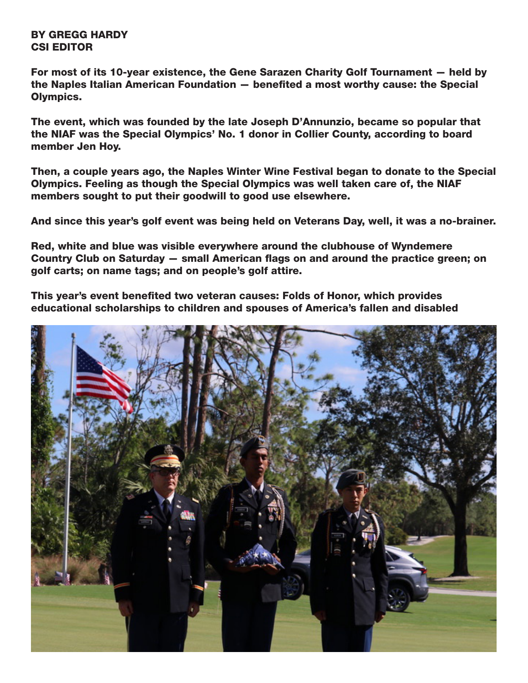BY GREGG HARDY CSI EDITOR

For most of its 10-year existence, the Gene Sarazen Charity Golf Tournament — held by the Naples Italian American Foundation — benefited a most worthy cause: the Special Olympics.

The event, which was founded by the late Joseph D'Annunzio, became so popular that the NIAF was the Special Olympics' No. 1 donor in Collier County, according to board member Jen Hoy.

Then, a couple years ago, the Naples Winter Wine Festival began to donate to the Special Olympics. Feeling as though the Special Olympics was well taken care of, the NIAF members sought to put their goodwill to good use elsewhere.

And since this year's golf event was being held on Veterans Day, well, it was a no-brainer.

Red, white and blue was visible everywhere around the clubhouse of Wyndemere Country Club on Saturday — small American flags on and around the practice green; on golf carts; on name tags; and on people's golf attire.

This year's event benefited two veteran causes: Folds of Honor, which provides educational scholarships to children and spouses of America's fallen and disabled